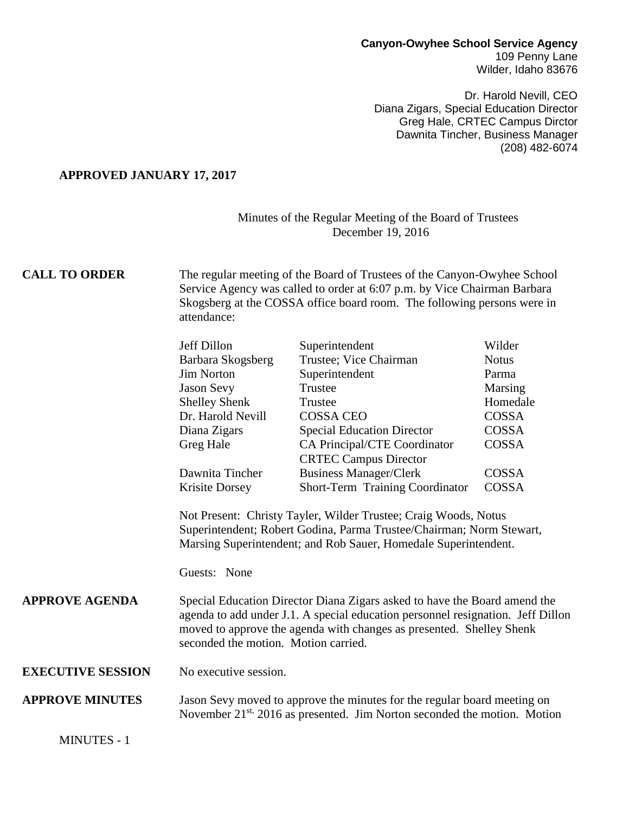#### **Canyon-Owyhee School Service Agency** 109 Penny Lane Wilder, Idaho 83676

Dr. Harold Nevill, CEO Diana Zigars, Special Education Director Greg Hale, CRTEC Campus Dirctor Dawnita Tincher, Business Manager (208) 482-6074

### **APPROVED JANUARY 17, 2017**

### Minutes of the Regular Meeting of the Board of Trustees December 19, 2016

## **CALL TO ORDER** The regular meeting of the Board of Trustees of the Canyon-Owyhee School Service Agency was called to order at 6:07 p.m. by Vice Chairman Barbara Skogsberg at the COSSA office board room. The following persons were in attendance:

| Jeff Dillon          | Superintendent                         | Wilder       |
|----------------------|----------------------------------------|--------------|
| Barbara Skogsberg    | Trustee; Vice Chairman                 | <b>Notus</b> |
| <b>Jim Norton</b>    | Superintendent                         | Parma        |
| <b>Jason Sevy</b>    | Trustee                                | Marsing      |
| <b>Shelley Shenk</b> | Trustee                                | Homedale     |
| Dr. Harold Nevill    | <b>COSSA CEO</b>                       | COSSA        |
| Diana Zigars         | <b>Special Education Director</b>      | COSSA        |
| Greg Hale            | <b>CA Principal/CTE Coordinator</b>    | COSSA        |
|                      | <b>CRTEC Campus Director</b>           |              |
| Dawnita Tincher      | <b>Business Manager/Clerk</b>          | COSSA        |
| Krisite Dorsey       | <b>Short-Term Training Coordinator</b> | COSSA        |
|                      |                                        |              |

Not Present: Christy Tayler, Wilder Trustee; Craig Woods, Notus Superintendent; Robert Godina, Parma Trustee/Chairman; Norm Stewart, Marsing Superintendent; and Rob Sauer, Homedale Superintendent.

Guests: None

**APPROVE AGENDA** Special Education Director Diana Zigars asked to have the Board amend the agenda to add under J.1. A special education personnel resignation. Jeff Dillon moved to approve the agenda with changes as presented. Shelley Shenk seconded the motion. Motion carried.

**EXECUTIVE SESSION** No executive session.

### **APPROVE MINUTES** Jason Sevy moved to approve the minutes for the regular board meeting on November 21<sup>st,</sup> 2016 as presented. Jim Norton seconded the motion. Motion

MINUTES - 1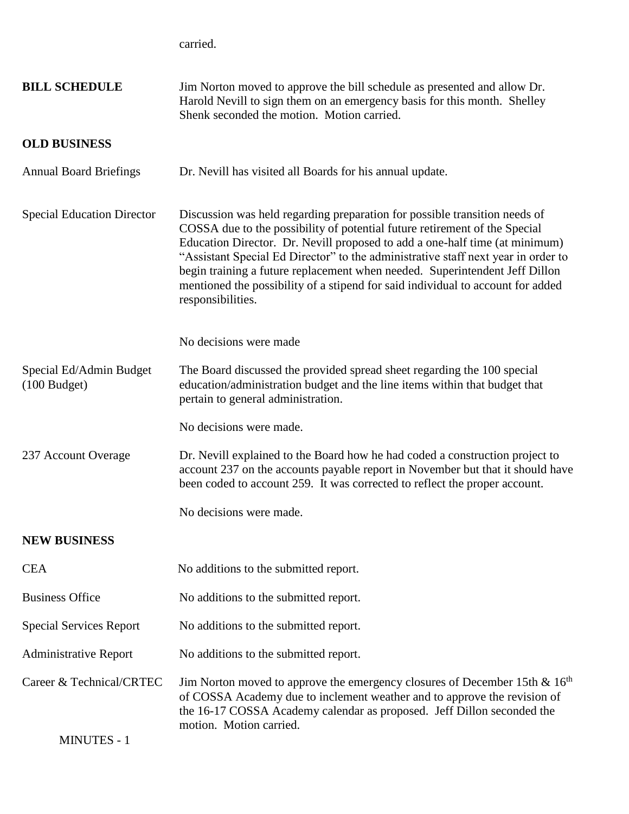carried.

| <b>BILL SCHEDULE</b>                           | Jim Norton moved to approve the bill schedule as presented and allow Dr.<br>Harold Nevill to sign them on an emergency basis for this month. Shelley<br>Shenk seconded the motion. Motion carried.                                                                                                                                                                                                                                                                                                                  |
|------------------------------------------------|---------------------------------------------------------------------------------------------------------------------------------------------------------------------------------------------------------------------------------------------------------------------------------------------------------------------------------------------------------------------------------------------------------------------------------------------------------------------------------------------------------------------|
| <b>OLD BUSINESS</b>                            |                                                                                                                                                                                                                                                                                                                                                                                                                                                                                                                     |
| <b>Annual Board Briefings</b>                  | Dr. Nevill has visited all Boards for his annual update.                                                                                                                                                                                                                                                                                                                                                                                                                                                            |
| <b>Special Education Director</b>              | Discussion was held regarding preparation for possible transition needs of<br>COSSA due to the possibility of potential future retirement of the Special<br>Education Director. Dr. Nevill proposed to add a one-half time (at minimum)<br>"Assistant Special Ed Director" to the administrative staff next year in order to<br>begin training a future replacement when needed. Superintendent Jeff Dillon<br>mentioned the possibility of a stipend for said individual to account for added<br>responsibilities. |
|                                                | No decisions were made.                                                                                                                                                                                                                                                                                                                                                                                                                                                                                             |
| Special Ed/Admin Budget<br>$(100$ Budget)      | The Board discussed the provided spread sheet regarding the 100 special<br>education/administration budget and the line items within that budget that<br>pertain to general administration.                                                                                                                                                                                                                                                                                                                         |
|                                                | No decisions were made.                                                                                                                                                                                                                                                                                                                                                                                                                                                                                             |
| 237 Account Overage                            | Dr. Nevill explained to the Board how he had coded a construction project to<br>account 237 on the accounts payable report in November but that it should have<br>been coded to account 259. It was corrected to reflect the proper account.                                                                                                                                                                                                                                                                        |
|                                                | No decisions were made.                                                                                                                                                                                                                                                                                                                                                                                                                                                                                             |
| <b>NEW BUSINESS</b>                            |                                                                                                                                                                                                                                                                                                                                                                                                                                                                                                                     |
| <b>CEA</b>                                     | No additions to the submitted report.                                                                                                                                                                                                                                                                                                                                                                                                                                                                               |
| <b>Business Office</b>                         | No additions to the submitted report.                                                                                                                                                                                                                                                                                                                                                                                                                                                                               |
| <b>Special Services Report</b>                 | No additions to the submitted report.                                                                                                                                                                                                                                                                                                                                                                                                                                                                               |
| <b>Administrative Report</b>                   | No additions to the submitted report.                                                                                                                                                                                                                                                                                                                                                                                                                                                                               |
| Career & Technical/CRTEC<br><b>MINUTES - 1</b> | Jim Norton moved to approve the emergency closures of December 15th $\&$ 16 <sup>th</sup><br>of COSSA Academy due to inclement weather and to approve the revision of<br>the 16-17 COSSA Academy calendar as proposed. Jeff Dillon seconded the<br>motion. Motion carried.                                                                                                                                                                                                                                          |